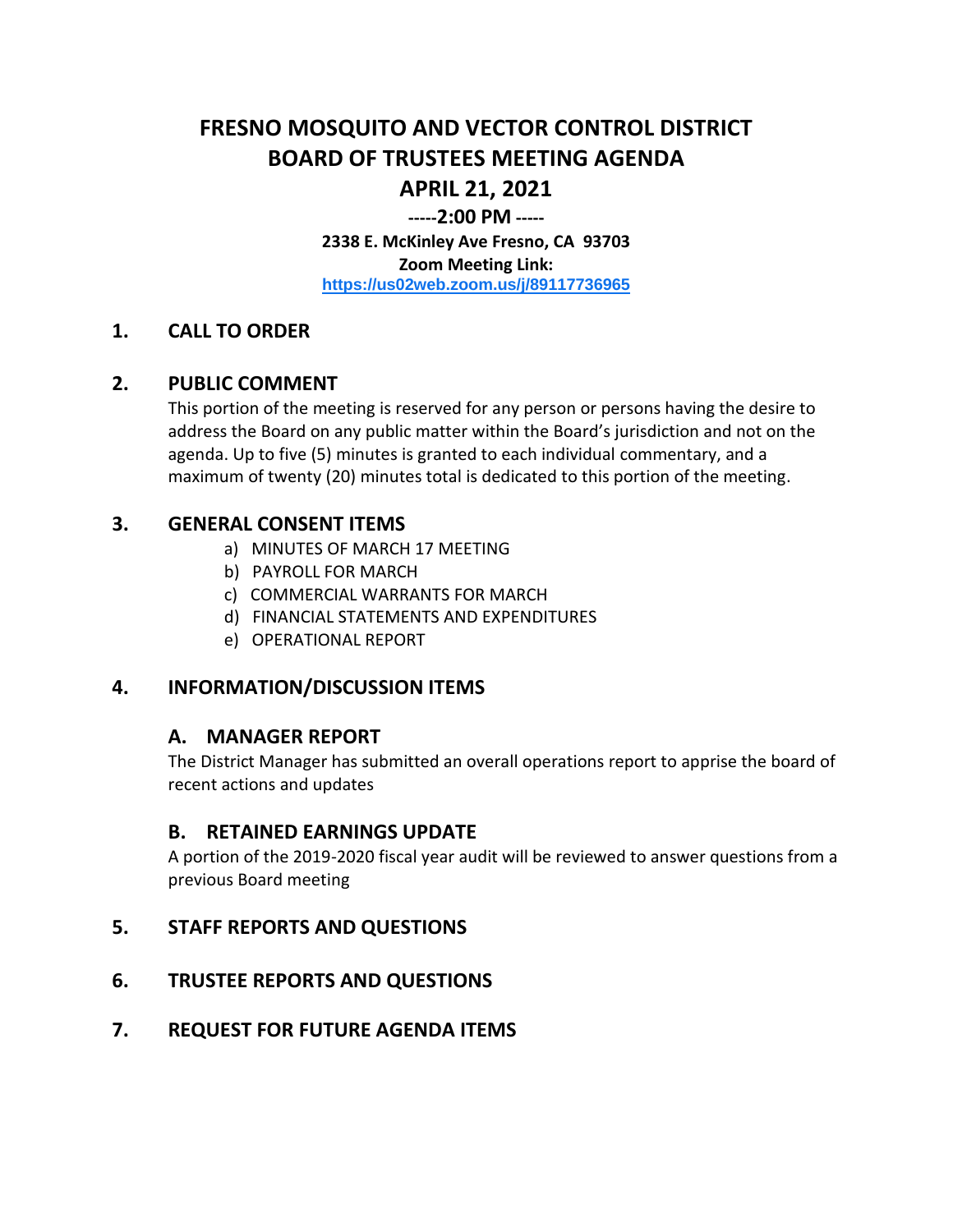# **FRESNO MOSQUITO AND VECTOR CONTROL DISTRICT BOARD OF TRUSTEES MEETING AGENDA APRIL 21, 2021**

## **-----2:00 PM -----**

**2338 E. McKinley Ave Fresno, CA 93703 Zoom Meeting Link: <https://us02web.zoom.us/j/89117736965>**

#### **1. CALL TO ORDER**

#### **2. PUBLIC COMMENT**

This portion of the meeting is reserved for any person or persons having the desire to address the Board on any public matter within the Board's jurisdiction and not on the agenda. Up to five (5) minutes is granted to each individual commentary, and a maximum of twenty (20) minutes total is dedicated to this portion of the meeting.

## **3. GENERAL CONSENT ITEMS**

- a) MINUTES OF MARCH 17 MEETING
- b) PAYROLL FOR MARCH
- c) COMMERCIAL WARRANTS FOR MARCH
- d) FINANCIAL STATEMENTS AND EXPENDITURES
- e) OPERATIONAL REPORT

## **4. INFORMATION/DISCUSSION ITEMS**

## **A. MANAGER REPORT**

The District Manager has submitted an overall operations report to apprise the board of recent actions and updates

#### **B. RETAINED EARNINGS UPDATE**

A portion of the 2019-2020 fiscal year audit will be reviewed to answer questions from a previous Board meeting

#### **5. STAFF REPORTS AND QUESTIONS**

## **6. TRUSTEE REPORTS AND QUESTIONS**

## **7. REQUEST FOR FUTURE AGENDA ITEMS**